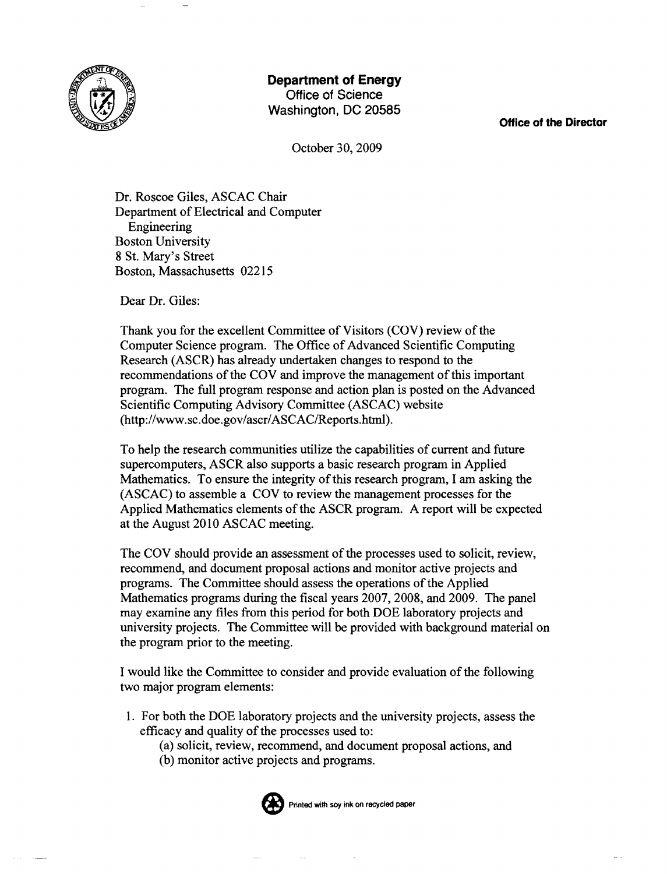

## **Department of Energy**

Office of Science Washington, DC 20585

**Office of the Director** 

October 30, 2009

Dr. Roscoe Giles, ASCAC Chair Department of Electrical and Computer Engineering Boston University 8 St. Mary's Street Boston, Massachusetts 02215

Dear Dr. Giles:

Thank you for the excellent Committee of Visitors (COV) review of the Computer Science program. The Office of Advanced Scientific Computing Research (ASCR) has already undertaken changes to respond to the recommendations of the COV and improve the management of this important program. The full program response and action plan is posted on the Advanced Scientific Computing Advisory Committee (ASCAC) website (http://www.sc.doe.gov/ascr/ASCAC/Reports.html).

To help the research communities utilize the capabilities of current and future supercomputers, ASCR also supports a basic research program in Applied Mathematics. To ensure the integrity of this research program, I am asking the (ASCAC) to assemble a COY to review the management processes for the Applied Mathematics elements of the ASCR program. A report will be expected at the August 2010 ASCAC meeting.

The COV should provide an assessment of the processes used to solicit, review, recommend, and document proposal actions and monitor active projects and programs. The Committee should assess the operations of the Applied Mathematics programs during the fiscal years 2007, 2008, and 2009. The panel may examine any files from this period for both DOE laboratory projects and university projects. The Committee will be provided with background material on the program prior to the meeting.

I would like the Committee to consider and provide evaluation ofthe following two major program elements:

- 1. For both the DOE laboratory projects and the university projects, assess the efficacy and quality of the processes used to:
	- (a) solicit, review, recommend, and document proposal actions, and
	- (b) monitor active projects and programs.



Printed with soy ink on recycled paper